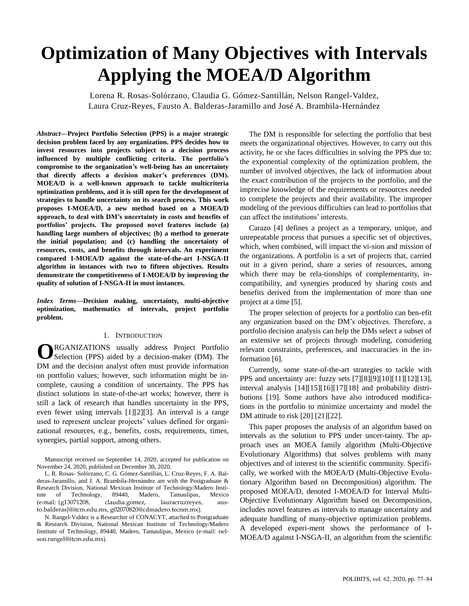# **Optimization of Many Objectives with Intervals Applying the MOEA/D Algorithm**

Lorena R. Rosas-Solórzano, Claudia G. Gómez-Santillán, Nelson Rangel-Valdez, Laura Cruz-Reyes, Fausto A. Balderas-Jaramillo and José A. Brambila-Hernández

*Abstract***—Project Portfolio Selection (PPS) is a major strategic decision problem faced by any organization. PPS decides how to invest resources into projects subject to a decision process influenced by multiple conflicting criteria. The portfolio's compromise to the organization's well-being has an uncertainty that directly affects a decision maker's preferences (DM). MOEA/D is a well-known approach to tackle multicriteria optimization problems, and it is still open for the development of strategies to handle uncertainty on its search process. This work proposes I-MOEA/D, a new method based on a MOEA/D approach, to deal with DM's uncertainty in costs and benefits of portfolios' projects. The proposed novel features include (a) handling large numbers of objectives; (b) a method to generate the initial population; and (c) handling the uncertainty of resources, costs, and benefits through intervals. An experiment compared I-MOEA/D against the state-of-the-art I-NSGA-II algorithm in instances with two to fifteen objectives. Results demonstrate the competitiveness of I-MOEA/D by improving the quality of solution of I-NSGA-II in most instances.**

*Index Terms***—Decision making, uncertainty, multi-objective optimization, mathematics of intervals, project portfolio problem.**

# 1. INTRODUCTION

RGANIZATIONS usually address Project Portfolio **O**RGANIZATIONS usually address Project Portfolio Selection (PPS) aided by a decision-maker (DM). The DM and the decision analyst often must provide information on portfolio values; however, such information might be incomplete, causing a condition of uncertainty. The PPS has distinct solutions in state-of-the-art works; however, there is still a lack of research that handles uncertainty in the PPS, even fewer using intervals [1][2][3]. An interval is a range used to represent unclear projects' values defined for organizational resources, e.g., benefits, costs, requirements, times, synergies, partial support, among others.

Manuscript received on September 14, 2020, accepted for publication on November 24, 2020, published on December 30, 2020.

L. R. Rosas- Solórzano, C. G. Gómez-Santillán, L. Cruz-Reyes, F. A. Balderas-Jaramillo, and J. A. Brambila-Hernández are with the Postgraduate & Research Division, National Mexican Institute of Technology/Madero Institute of Technology, 89440, Madero, Tamaulipas, Mexico (e-mail: {[g13071208,](mailto:g13071208@itcm.edu.mx) claudia.gomez, lauracruzreyes, austo.balderas}@itcm.edu.mx, g02070820@cdmadero.tecnm.mx).

N. Rangel-Valdez is a Researcher of CONACYT, attached to Postgraduate & Research Division, National Mexican Institute of Technology/Madero Institute of Technology, 89440, Madero, Tamaulipas, Mexico (e-mail: [nel](mailto:nelson.rangel@itcm.edu.mx)[son.rangel@itcm.edu.mx\).](mailto:nelson.rangel@itcm.edu.mx)

The DM is responsible for selecting the portfolio that best meets the organizational objectives. However, to carry out this activity, he or she faces difficulties in solving the PPS due to: the exponential complexity of the optimization problem, the number of involved objectives, the lack of information about the exact contribution of the projects to the portfolio, and the imprecise knowledge of the requirements or resources needed to complete the projects and their availability. The improper modeling of the previous difficulties can lead to portfolios that can affect the institutions' interests.

Carazo [4] defines a project as a temporary, unique, and unrepeatable process that pursues a specific set of objectives, which, when combined, will impact the vi-sion and mission of the organizations. A portfolio is a set of projects that, carried out in a given period, share a series of resources, among which there may be rela-tionships of complementarity, incompatibility, and synergies produced by sharing costs and benefits derived from the implementation of more than one project at a time [5].

The proper selection of projects for a portfolio can ben-efit any organization based on the DM's objectives. Therefore, a portfolio decision analysis can help the DMs select a subset of an extensive set of projects through modeling, considering relevant constraints, preferences, and inaccuracies in the information [6].

Currently, some state-of-the-art strategies to tackle with PPS and uncertainty are: fuzzy sets [7][8][9][10][11][12][13], interval analysis [14][15][16][17][18] and probability distributions [19]. Some authors have also introduced modifications in the portfolio to minimize uncertainty and model the DM attitude to risk [20] [21][22].

This paper proposes the analysis of an algorithm based on intervals as the solution to PPS under uncer-tainty. The approach uses an MOEA family algorithm (Multi-Objective Evolutionary Algorithms) that solves problems with many objectives and of interest to the scientific community. Specifically, we worked with the MOEA/D (Multi-Objective Evolutionary Algorithm based on Decomposition) algorithm. The proposed MOEA/D, denoted I-MOEA/D for Interval Multi-Objective Evolutionary Algorithm based on Decomposition, includes novel features as intervals to manage uncertainty and adequate handling of many-objective optimization problems. A developed experi-ment shows the performance of I-MOEA/D against I-NSGA-II, an algorithm from the scientific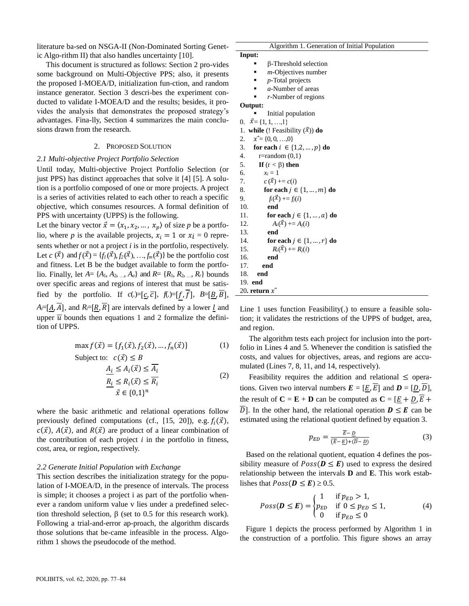literature ba-sed on NSGA-II (Non-Dominated Sorting Genetic Algo-rithm II) that also handles uncertainty [10]. /RUHQD 5 5RVDV 6ROyU]DQR &ODXGLD \* \*yPH]6DQWLOOIQ 1HOVRQ 5DQJHO 9DOGH]/DXUD<br>
Iterature ba-sed on NSGA-II (Non-Dominated Sorting Genet-<br>
ic Algo-rithm II) that also handles uncertainty [10].<br>
The structured as follows: Sec

This document is structured as follows: Section 2 pro-vides some background on Multi-Objective PPS; also, it presents the proposed I-MOEA/D, initialization fun-ction, and random instance generator. Section 3 descri-bes the experiment conducted to validate I-MOEA/D and the results; besides, it provides the analysis that demonstrates the proposed strategy's advantages. Fina-lly, Section 4 summarizes the main conclusions drawn from the research.

## 2. PROPOSED SOLUTION

# *2.1 Multi-objective Project Portfolio Selection*

Until today, Multi-objective Project Portfolio Selection (or just PPS) has distinct approaches that solve it [4] [5]. A solution is a portfolio composed of one or more projects. A project is a series of activities related to each other to reach a specific objective, which consumes resources. A formal definition of PPS with uncertainty (UPPS) is the following.

Let the binary vector  $\vec{x} = \langle x_1, x_2, \dots, x_p \rangle$  of size p be a portfolio, where *p* is the available projects,  $x_i = 1$  or  $x_i = 0$  represents whether or not a project *i* is in the portfolio, respectively. Let  $c(\vec{x})$  and  $f(\vec{x}) = \{f_l(\vec{x}), f_2(\vec{x}), \ldots, f_m(\vec{x})\}$  be the portfolio cost and fitness. Let B be the budget available to form the portfolio. Finally, let  $A = \{A_1, A_2, ..., A_a\}$  and  $R = \{R_1, R_2, ..., R_r\}$  bounds over specific areas and regions of interest that must be satisfied by the portfolio. If  $c(.)=[\underline{c}, \overline{c}], f(.)=[f, \overline{f}], B=[\underline{B}, \overline{B}].$  $A_i = [A, \overline{A}]$ , and  $R_i = [R, \overline{R}]$  are intervals defined by a lower *l* and upper  $\overline{u}$  bounds then equations 1 and 2 formalize the definition of UPPS.

$$
\max f(\vec{x}) = \{f_1(\vec{x}), f_2(\vec{x}), \dots, f_n(\vec{x})\}
$$
 (1)

Subject to: 
$$
c(\vec{x}) \le B
$$
  
\n
$$
\frac{A_i}{\sum_{i=1}^{n} A_i(\vec{x})} \le \frac{A_i}{A_i}
$$
\n
$$
\frac{R_i}{\sum_{i=1}^{n} A_i(\vec{x})} \le \frac{R_i}{R_i}
$$
\n
$$
(2)
$$

where the basic arithmetic and relational operations follow previously defined computations (cf., [15, 20]), e.g.  $f_i(\vec{x})$ ,  $c(\vec{x})$ ,  $A(\vec{x})$ , and  $R(\vec{x})$  are product of a linear combination of the contribution of each project  $i$  in the portfolio in fitness, cost, area, or region, respectively.

## *2.2 Generate Initial Population with Exchange*

This section describes the initialization strategy for the population of I-MOEA/D, in the presence of intervals. The process is simple; it chooses a project i as part of the portfolio whenever a random uniform value v lies under a predefined selection threshold selection,  $\beta$  (set to 0.5 for this research work). Following a trial-and-error ap-proach, the algorithm discards those solutions that be-came infeasible in the process. Algorithm 1 shows the pseudocode of the method.

| Algorithm 1. Generation of Initial Population |  |
|-----------------------------------------------|--|
|-----------------------------------------------|--|

| Input: |                              |
|--------|------------------------------|
|        | <b>B-Threshold selection</b> |

- *m*-Objectives number
- *p*-Total projects
- *a*-Number of areas
- *r*-Number of regions

## **Output:**

- Initial population
- 0.  $\vec{x} = \{1, 1, ..., 1\}$
- 1. **while** (! Feasibility  $(\vec{x})$ ) **do**
- 2.  $\vec{x} = \{0, 0, \ldots, 0\}$

16. **end**

- 3. **for each**  $i \in \{1, 2, ..., p\}$  **do**
- 4.r=random (0,1)
- 5. **If**  $(r < \beta)$  **then**
- 6.  $x_i = 1$ 7.  $c(\vec{x}) + c(i)$ 8. **for each**  $j \in \{1, ..., m\}$  **do**
- 9.  $f_i(\vec{x}) + f_j(i)$ 10. **end** 11. **for each**  $j \in \{1, ..., a\}$  **do**
- 12.  $A_i(\vec{x}) + = A_j(i)$ 13. **end**
- 14. **for each**  $j \in \{1, ..., r\}$  **do** 15.  $R_i(\vec{x}) + R_j(i)$
- 17. **end** 18. **end** 19. **end** 20. return  $\bar{x}$

Line 1 uses function Feasibility(.) to ensure a feasible solution; it validates the restrictions of the UPPS of budget, area, and region.

The algorithm tests each project for inclusion into the portfolio in Lines 4 and 5. Whenever the condition is satisfied the costs, and values for objectives, areas, and regions are accumulated (Lines 7, 8, 11, and 14, respectively).

Feasibility requires the addition and relational  $\leq$  operations. Given two interval numbers  $\vec{E} = [E, \overline{E}]$  and  $\vec{D} = [D, \overline{D}],$ the result of  $C = E + D$  can be computed as  $C = [E + D, \overline{E}]$ D. In the other hand, the relational operation  $\mathbf{D} \leq \mathbf{E}$  can be estimated using the relational quotient defined by equation 3.

$$
p_{ED} = \frac{\overline{E} - \underline{D}}{(\overline{E} - \underline{E}) + (\overline{D} - \underline{D})}
$$
(3)

Based on the relational quotient, equation 4 defines the possibility measure of  $Poss(D \leq E)$  used to express the desired relationship between the intervals **D** and **E**. This work establishes that  $Poss(D \leq E) \geq 0.5$ .

$$
Poss(\boldsymbol{D} \le \boldsymbol{E}) = \begin{cases} 1 & \text{if } p_{ED} > 1, \\ p_{ED} & \text{if } 0 \le p_{ED} \le 1, \\ 0 & \text{if } p_{ED} \le 0 \end{cases}
$$
(4)

Figure 1 depicts the process performed by Algorithm 1 in the construction of a portfolio. This figure shows an array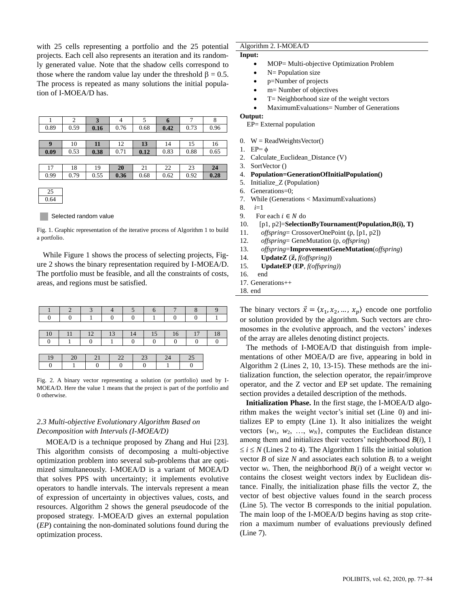with 25 cells representing a portfolio and the 25 potential projects. Each cell also represents an iteration and its randomly generated value. Note that the shadow cells correspond to those where the random value lay under the threshold  $\beta = 0.5$ . The process is repeated as many solutions the initial population of I-MOEA/D has.

|                  | 2    | 3    | $\overline{4}$ | 5    | 6    | 7    | 8    |
|------------------|------|------|----------------|------|------|------|------|
| 0.89             | 0.59 | 0.16 | 0.76           | 0.68 | 0.42 | 0.73 | 0.96 |
|                  |      |      |                |      |      |      |      |
| $\boldsymbol{9}$ | 10   | 11   | 12             | 13   | 14   | 15   | 16   |
| 0.09             | 0.53 | 0.38 | 0.71           | 0.12 | 0.83 | 0.88 | 0.65 |
|                  |      |      |                |      |      |      |      |
| 17               | 18   | 19   | 20             | 21   | 22   | 23   | 24   |
| 0.99             | 0.79 | 0.55 | 0.36           | 0.68 | 0.62 | 0.92 | 0.28 |
|                  |      |      |                |      |      |      |      |
| 25               |      |      |                |      |      |      |      |
| 0.64             |      |      |                |      |      |      |      |



Fig. 1. Graphic representation of the iterative process of Algorithm 1 to build a portfolio.

While Figure 1 shows the process of selecting projects, Figure 2 shows the binary representation required by I-MOEA/D. The portfolio must be feasible, and all the constraints of costs, areas, and regions must be satisfied.

|  | n | 13 | $\sim$ |    |  |
|--|---|----|--------|----|--|
|  |   |    |        |    |  |
|  |   |    |        |    |  |
|  |   | 22 | フ3     | 7, |  |
|  |   |    |        |    |  |

Fig. 2. A binary vector representing a solution (or portfolio) used by I-MOEA/D. Here the value 1 means that the project is part of the portfolio and 0 otherwise.

# *2.3 Multi-objective Evolutionary Algorithm Based on Decomposition with Intervals (I-MOEA/D)*

MOEA/D is a technique proposed by Zhang and Hui [23]. This algorithm consists of decomposing a multi-objective optimization problem into several sub-problems that are optimized simultaneously. I-MOEA/D is a variant of MOEA/D that solves PPS with uncertainty; it implements evolutive operators to handle intervals. The intervals represent a mean of expression of uncertainty in objectives values, costs, and resources. Algorithm 2 shows the general pseudocode of the proposed strategy. I-MOEA/D gives an external population (*EP*) containing the non-dominated solutions found during the optimization process.

# Algorithm 2. I-MOEA/D

- **Input:**
	- MOP= Multi-objective Optimization Problem
		- N= Population size
	- p=Number of projects
	- m= Number of objectives
	- T= Neighborhood size of the weight vectors
	- MaximumEvaluations= Number of Generations

# **Output:**

EP= External population

- 0.  $W = ReadWeightsVector()$
- 1.  $EP=\phi$ 2. Calculate Euclidean Distance (V)
- 3. SortVector ()
- 4. **Population=GenerationOfInitialPopulation()**
- 5. Initialize\_Z (Population)
- 6. Generations=0;
- 7. While (Generations < MaximumEvaluations)
- 8. *i*=1
- 9. For each  $i \in N$  do
- 10. [p1, p2]=**SelectionByTournament(Population,B(i), T)**
- 11. *offspring*= CrossoverOnePoint (p, [p1, p2])
- 12. *offspring*= GeneMutation (p, *offspring*)
- 13. *offspring*=**ImprovementGeneMutation**(*offspring*)
- 14. **UpdateZ** ( $\vec{z}$ ,  $f($ offspring))
- 15. **UpdateEP** (**EP**, *f(offspring)*)
- 16. end

17. Generations++

18. end

The binary vectors  $\vec{x} = \langle x_1, x_2, ..., x_p \rangle$  encode one portfolio or solution provided by the algorithm. Such vectors are chromosomes in the evolutive approach, and the vectors' indexes of the array are alleles denoting distinct projects.

The methods of I-MOEA/D that distinguish from implementations of other MOEA/D are five, appearing in bold in Algorithm 2 (Lines 2, 10, 13-15). These methods are the initialization function, the selection operator, the repair/improve operator, and the Z vector and EP set update. The remaining section provides a detailed description of the methods.

**Initialization Phase.** In the first stage, the I-MOEA/D algorithm makes the weight vector's initial set (Line 0) and initializes EP to empty (Line 1). It also initializes the weight vectors  $\{w_1, w_2, ..., w_N\}$ , computes the Euclidean distance among them and initializes their vectors' neighborhood *B*(*i*), 1  $\le i \le N$  (Lines 2 to 4). The Algorithm 1 fills the initial solution vector *B* of size *N* and associates each solution  $B_i$  to a weight vector  $w_i$ . Then, the neighborhood  $B(i)$  of a weight vector  $w_i$ contains the closest weight vectors index by Euclidean distance. Finally, the initialization phase fills the vector Z, the vector of best objective values found in the search process (Line 5). The vector B corresponds to the initial population. The main loop of the I-MOEA/D begins having as stop criterion a maximum number of evaluations previously defined (Line 7).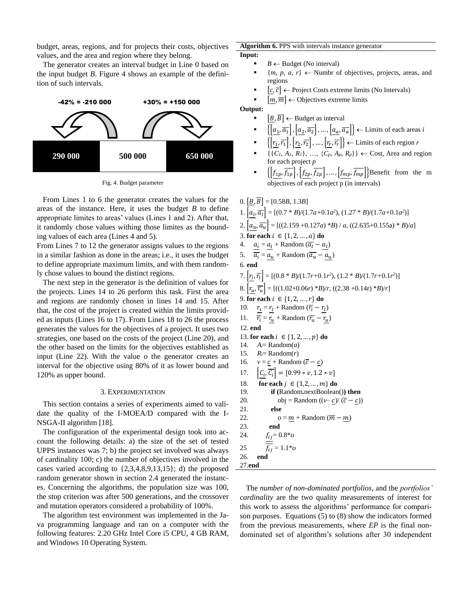budget, areas, regions, and for projects their costs, objectives values, and the area and region where they belong.

The generator creates an interval budget in Line 0 based on the input budget *B*. Figure 4 shows an example of the definition of such intervals.



Fig. 4. Budget parameter

From Lines 1 to 6 the generator creates the values for the areas of the instance. Here, it uses the budget *B* to define appropriate limites to areas' values (Lines 1 and 2). After that, it randomly chose values withing those limites as the bounding values of each area (Lines 4 and 5).

From Lines 7 to 12 the generator assigns values to the regions in a similar fashion as done in the areas; i.e., it uses the budget to define appropriate maximum limits, and with them randomly chose values to bound the distinct regions.

The next step in the generator is the definition of values for the projects. Lines 14 to 26 perform this task. First the area and regions are randomly chosen in lines 14 and 15. After that, the cost of the project is created within the limits provided as inputs (Lines 16 to 17). From Lines 18 to 26 the process generates the values for the objectives of a project. It uses two strategies, one based on the costs of the project (Line 20), and the other based on the limits for the objectives established as input (Line 22). With the value *o* the generator creates an interval for the objective using 80% of it as lower bound and 120% as upper bound.

#### 3. EXPERIMENTATION

This section contains a series of experiments aimed to validate the quality of the I-MOEA/D compared with the I-NSGA-II algorithm [18].

The configuration of the experimental design took into account the following details: a) the size of the set of tested UPPS instances was 7; b) the project set involved was always of cardinality 100; c) the number of objectives involved in the cases varied according to {2,3,4,8,9,13,15}; d) the proposed random generator shown in section 2.4 generated the instances. Concerning the algorithms, the population size was 100, the stop criterion was after 500 generations, and the crossover and mutation operators considered a probability of 100%.

The algorithm test environment was implemented in the Java programming language and ran on a computer with the following features: 2.20 GHz Intel Core i5 CPU, 4 GB RAM, and Windows 10 Operating System.

## **Algorithm 6.** PPS with intervals instance generator **Input:**

- $B \leftarrow$  Budget (No interval)
	- ${m, p, a, r} \leftarrow$  Numbr of objectives, projects, areas, and regions
	- $[c, \overline{c}] \leftarrow$  Project Costs extreme limits (No Intervals)
	- $[m, \overline{m}] \leftarrow$  Objectives extreme limits

**Output:**

- $[B, \overline{B}] \leftarrow$  Budget as interval
- $\{\left[a_1, \overline{a_1}\right], \left[a_2, \overline{a_2}\right], \dots, \left[a_a, \overline{a_a}\right]\} \leftarrow$  Limits of each areas *i*
- $\left\{ \left| \underline{r_1}, \overline{r_1} \right|, \left| \underline{r_2}, \overline{r_2} \right|, \dots, \left| \underline{r_r}, \overline{r_r} \right| \right\} \leftarrow$  Limits of each region *r*
- $\{ \{C_1, A_1, R_1\}, \ldots, \{C_p, A_p, R_p\} \} \leftarrow \text{Cost}, \text{Area and region}$ for each project *p*
- $\left\{ \left[ f_{1p}, \overline{f_{1p}} \right], \left[ f_{2p}, \overline{f_{2p}} \right], \dots, \left[ f_{mp}, \overline{f_{mp}} \right] \right\}$ Benefit from the m objectives of each project p (in intervals)

0. 
$$
\left[\underline{B}, \overline{B}\right] = [0.58B, 1.3B]
$$
  
\n1.  $\left[\underline{a}_L, \overline{a}_l\right] = [(0.7 * B)/(1.7a+0.1a^2), (1.27 * B)/(1.7a+0.1a^2)]$   
\n2.  $\left[\underline{a}_u, \overline{a}_u\right] = [((2.159 + 0.127a) * B) / a, ((2.635 + 0.155a) * B)/a]$   
\n3. **for each**  $i \in \{1, 2, ..., a\}$  **do**  
\n4.  $\frac{a_i}{\overline{a}_i} = \frac{a_l}{a_u} + \text{Random } (\overline{a}_l - \underline{a}_l)$   
\n5.  $\overline{\overline{a}_i} = \underline{a}_u + \text{Random } (\overline{a}_u - \underline{a}_u)$   
\n6. **end**  
\n7.  $\left[\underline{r}_L, \overline{r}_l\right] = [(0.8 * B)/(1.7r+0.1r^2), (1.2 * B)/(1.7r+0.1r^2)]$   
\n8.  $\left[\underline{r}_u, \overline{r}_u\right] = [((1.02+0.06r) * B)/r, ((2.38 + 0.14r) * B)/r]$   
\n9. **for each**  $i \in \{1, 2, ..., r\}$  **do**  
\n10.  $\frac{r_i}{r_i} = \frac{r_i}{r_i} + \text{Random } (\overline{r}_i - \overline{r}_i)$   
\n11.  $\overline{r}_i = \frac{r_i}{u} + \text{Random } (\overline{r}_i - \overline{r}_i)$   
\n12. **end**  
\n13. **for each**  $i \in \{1, 2, ..., p\}$  **do**  
\n14.  $A_i = \text{Random}(a)$   
\n15.  $R_i = \text{Random}(r)$   
\n16.  $v = \underline{c} + \text{Random } (\overline{c} - \underline{c})$   
\n17.  $\left[\underline{C}_i, \overline{C}_i\right] = [0.99 * v, 1.2$ 

The *number of non-dominated portfolios*, and the *portfolios' cardinality* are the two quality measurements of interest for this work to assess the algorithms' performance for comparison purposes. Equations (5) to (8) show the indicators formed from the previous measurements, where *EP* is the final nondominated set of algorithm's solutions after 30 independent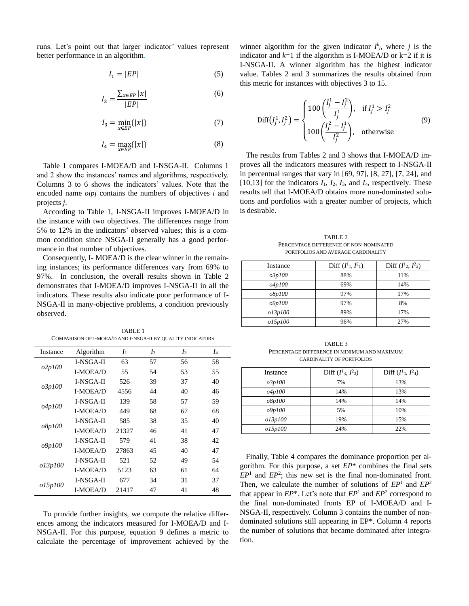runs. Let's point out that larger indicator' values represent better performance in an algorithm.

$$
I_1 = |EP| \tag{5}
$$

$$
I_2 = \frac{\sum_{x \in EP} |x|}{|EP|} \tag{6}
$$

$$
I_3 = \min_{x \in EP} \{|x|\} \tag{7}
$$

$$
I_4 = \max_{x \in EP} \{|x|\} \tag{8}
$$

Table 1 compares I-MOEA/D and I-NSGA-II. Columns 1 and 2 show the instances' names and algorithms, respectively. Columns 3 to 6 shows the indicators' values. Note that the encoded name *oipj* contains the numbers of objectives *i* and projects *j*.

According to Table 1, I-NSGA-II improves I-MOEA/D in the instance with two objectives. The differences range from 5% to 12% in the indicators' observed values; this is a common condition since NSGA-II generally has a good performance in that number of objectives.

Consequently, I- MOEA/D is the clear winner in the remaining instances; its performance differences vary from 69% to 97%. In conclusion, the overall results shown in Table 2 demonstrates that I-MOEA/D improves I-NSGA-II in all the indicators. These results also indicate poor performance of I-NSGA-II in many-objective problems, a condition previously observed.

TABLE 1 COMPARISON OF I-MOEA/D AND I-NSGA-II BY QUALITY INDICATORS

| Instance                | Algorithm        | I <sub>1</sub> | I <sub>2</sub> | I3 | I4 |
|-------------------------|------------------|----------------|----------------|----|----|
|                         | I-NSGA-II        | 63             | 57             | 56 | 58 |
| o2p100                  | <b>I-MOEA/D</b>  | 55             | 54             | 53 | 55 |
|                         | <b>I-NSGA-II</b> | 526            | 39             | 37 | 40 |
| o3p100                  | <b>I-MOEA/D</b>  | 4556           | 44             | 40 | 46 |
|                         | <b>I-NSGA-II</b> | 139            | 58             | 57 | 59 |
| o4p100                  | <b>I-MOEA/D</b>  | 449            | 68             | 67 | 68 |
|                         | <b>I-NSGA-II</b> | 585            | 38             | 35 | 40 |
| <i>o</i> 8 <i>p</i> 100 | <b>I-MOEA/D</b>  | 21327          | 46             | 41 | 47 |
|                         | <b>I-NSGA-II</b> | 579            | 41             | 38 | 42 |
| <i>o</i> 9p100          | <b>I-MOEA/D</b>  | 27863          | 45             | 40 | 47 |
|                         | <b>I-NSGA-II</b> | 521            | 52             | 49 | 54 |
| o13p100                 | <b>I-MOEA/D</b>  | 5123           | 63             | 61 | 64 |
|                         | I-NSGA-II        | 677            | 34             | 31 | 37 |
| o15p100                 | <b>I-MOEA/D</b>  | 21417          | 47             | 41 | 48 |

To provide further insights, we compute the relative differences among the indicators measured for I-MOEA/D and I-NSGA-II. For this purpose, equation 9 defines a metric to calculate the percentage of improvement achieved by the

winner algorithm for the given indicator  $I^k_j$ , where *j* is the indicator and  $k=1$  if the algorithm is I-MOEA/D or  $k=2$  if it is I-NSGA-II. A winner algorithm has the highest indicator value. Tables 2 and 3 summarizes the results obtained from this metric for instances with objectives 3 to 15.

$$
\text{Diff}(I_j^1, I_j^2) = \begin{cases} 100 \left( \frac{I_j^1 - I_j^2}{I_j^1} \right), & \text{if } I_j^1 > I_j^2\\ 100 \left( \frac{I_j^2 - I_j^1}{I_j^2} \right), & \text{otherwise} \end{cases} \tag{9}
$$

The results from Tables 2 and 3 shows that I-MOEA/D improves all the indicators measures with respect to I-NSGA-II in percentual ranges that vary in [69, 97], [8, 27], [7, 24], and [10,13] for the indicators  $I_1$ ,  $I_2$ ,  $I_3$ , and  $I_4$ , respectively. These results tell that I-MOEA/D obtains more non-dominated solutions and portfolios with a greater number of projects, which is desirable.

TABLE 2 PERCENTAGE DIFFERENCE OF NON-NOMINATED PORTFOLIOS AND AVERAGE CARDINALITY

| Instance       | Diff $(I^1, I^2)$ | Diff $(I^1_2, I^2_2)$ |
|----------------|-------------------|-----------------------|
| o3p100         | 88%               | 11%                   |
| <i>o4p100</i>  | 69%               | 14%                   |
| <i>o</i> 8p100 | 97%               | 17%                   |
| o9p100         | 97%               | 8%                    |
| o13p100        | 89%               | 17%                   |
| o15p100        | 96%               | 27%                   |

TABLE 3 PERCENTAGE DIFFERENCE IN MINIMUM AND MAXIMUM CARDINALITY OF PORTFOLIOS

| Instance      | Diff $(I^1_3, I^2_3)$ | Diff $(I14, I24)$ |
|---------------|-----------------------|-------------------|
| <i>o3p100</i> | 7%                    | 13%               |
| <i>o4p100</i> | 14%                   | 13%               |
| o8p100        | 14%                   | 14%               |
| o9p100        | 5%                    | 10%               |
| o13p100       | 19%                   | 15%               |
| o15p100       | 24%                   | 22%               |

Finally, Table 4 compares the dominance proportion per algorithm. For this purpose, a set *EP*\* combines the final sets  $EP<sup>1</sup>$  and  $EP<sup>2</sup>$ ; this new set is the final non-dominated front. Then, we calculate the number of solutions of *EP*<sup>1</sup> and *EP*<sup>2</sup> that appear in  $EP^*$ . Let's note that  $EP^1$  and  $EP^2$  correspond to the final non-dominated fronts EP of I-MOEA/D and I-NSGA-II, respectively. Column 3 contains the number of nondominated solutions still appearing in EP\*. Column 4 reports the number of solutions that became dominated after integration.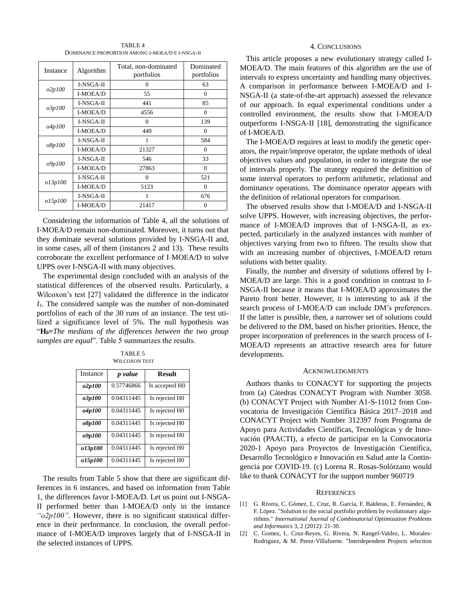TARI F 4 DOMINANCE PROPORTION AMONG I-MOEA/D E I-NSGA-II

| Instance | Algorithm        | Total, non-dominated<br>portfolios | Dominated<br>portfolios |
|----------|------------------|------------------------------------|-------------------------|
| o2p100   | I-NSGA-II        | 0                                  | 63                      |
|          | I-MOEA/D         | 55                                 | $\mathbf{0}$            |
| o3p100   | I-NSGA-II        | 441                                | 85                      |
|          | I-MOEA/D         | 4556                               | 0                       |
| o4p100   | I-NSGA-II        | $\theta$                           | 139                     |
|          | I-MOEA/D         | 449                                | $\Omega$                |
| o8p100   | <b>I-NSGA-II</b> | 1                                  | 584                     |
|          | I-MOEA/D         | 21327                              | $\overline{0}$          |
| o9p100   | I-NSGA-II        | 546                                | 33                      |
|          | I-MOEA/D         | 27863                              | $\overline{0}$          |
|          | I-NSGA-II        | $\Omega$                           | 521                     |
| o13p100  | I-MOEA/D         | 5123                               | $\theta$                |
| o15p100  | I-NSGA-II        |                                    | 676                     |
|          | I-MOEA/D         | 21417                              | $\theta$                |

Considering the information of Table 4, all the solutions of I-MOEA/D remain non-dominated. Moreover, it turns out that they dominate several solutions provided by I-NSGA-II and, in some cases, all of them (instances 2 and 13). These results corroborate the excellent performance of I-MOEA/D to solve UPPS over I-NSGA-II with many objectives.

The experimental design concluded with an analysis of the statistical differences of the observed results. Particularly, a Wilcoxon's test [27] validated the difference in the indicator *I*1. The considered sample was the number of non-dominated portfolios of each of the 30 runs of an instance. The test utilized a significance level of 5%. The null hypothesis was "**H0=***The medians of the differences between the two group samples are equal*". Table 5 summarizes the results.

| TABLE 5              |
|----------------------|
| <b>WILCOXON TEST</b> |

| Instance             | p value    | <b>Result</b>              |
|----------------------|------------|----------------------------|
| <i>o2p100</i>        | 0.57746866 | Is accepted H <sub>0</sub> |
| <i><b>o3p100</b></i> | 0.04311445 | Is rejected H0             |
| o4p100               | 0.04311445 | Is rejected H0             |
| <i>o8p100</i>        | 0.04311445 | Is rejected H0             |
| o9p100               | 0.04311445 | Is rejected H <sub>0</sub> |
| o13p100              | 0.04311445 | Is rejected H0             |
| o15p100              | 0.04311445 | Is rejected H0             |

The results from Table 5 show that there are significant differences in 6 instances, and based on information from Table 1, the differences favor I-MOEA/D. Let us point out I-NSGA-II performed better than I-MOEA/D only in the instance *"o2p100"*. However, there is no significant statistical difference in their performance. In conclusion, the overall performance of I-MOEA/D improves largely that of I-NSGA-II in the selected instances of UPPS.

## 4. CONCLUSIONS

This article proposes a new evolutionary strategy called I-MOEA/D. The main features of this algorithm are the use of intervals to express uncertainty and handling many objectives. A comparison in performance between I-MOEA/D and I-NSGA-II (a state-of-the-art approach) assessed the relevance of our approach. In equal experimental conditions under a controlled environment, the results show that I-MOEA/D outperforms I-NSGA-II [18], demonstrating the significance of I-MOEA/D.

The I-MOEA/D requires at least to modify the genetic operators, the repair/improve operator, the update methods of ideal objectives values and population, in order to integrate the use of intervals properly. The strategy required the definition of some interval operators to perform arithmetic, relational and dominance operations. The dominance operator appears with the definition of relational operators for comparison.

The observed results show that I-MOEA/D and I-NSGA-II solve UPPS. However, with increasing objectives, the performance of I-MOEA/D improves that of I-NSGA-II, as expected, particularly in the analyzed instances with number of objectives varying from two to fifteen. The results show that with an increasing number of objectives, I-MOEA/D return solutions with better quality.

Finally, the number and diversity of solutions offered by I-MOEA/D are large. This is a good condition in contrast to I-NSGA-II because it means that I-MOEA/D approximates the Pareto front better. However, it is interesting to ask if the search process of I-MOEA/D can include DM's preferences. If the latter is possible, then, a narrower set of solutions could be delivered to the DM, based on his/her priorities. Hence, the proper incorporation of preferences in the search process of I-MOEA/D represents an attractive research area for future developments.

## ACKNOWLEDGMENTS

Authors thanks to CONACYT for supporting the projects from (a) Cátedras CONACYT Program with Number 3058. (b) CONACYT Project with Number A1-S-11012 from Convocatoria de Investigación Científica Básica 2017–2018 and CONACYT Project with Number 312397 from Programa de Apoyo para Actividades Científicas, Tecnológicas y de Innovación (PAACTI), a efecto de participar en la Convocatoria 2020-1 Apoyo para Proyectos de Investigación Científica, Desarrollo Tecnológico e Innovación en Salud ante la Contingencia por COVID-19. (c) Lorena R. Rosas-Solórzano would like to thank CONACYT for the support number 960719

## **REFERENCES**

- [1] G. Rivera, C. Gómez, L. Cruz, R. García, F. Balderas, E. Fernández, & F. López. "Solution to the social portfolio problem by evolutionary algorithms." *International Journal of Combinatorial Optimization Problems and Informatics* 3, 2 (2012): 21-30.
- [2] C. Gomez, L. Cruz-Reyes, G. Rivera, N. Rangel-Valdez, L. Morales-Rodriguez, & M. Perez-Villafuerte. "Interdependent Projects selection